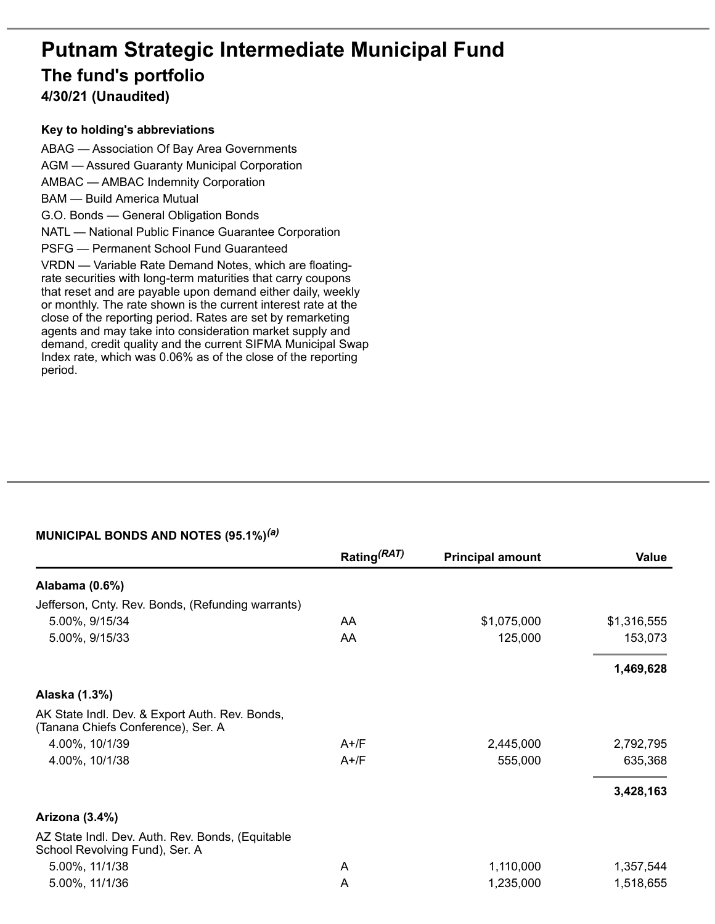# **Putnam Strategic Intermediate Municipal Fund The fund's portfolio 4/30/21 (Unaudited)**

#### **Key to holding's abbreviations**

ABAG — Association Of Bay Area Governments AGM — Assured Guaranty Municipal Corporation AMBAC — AMBAC Indemnity Corporation BAM — Build America Mutual G.O. Bonds — General Obligation Bonds NATL — National Public Finance Guarantee Corporation PSFG — Permanent School Fund Guaranteed VRDN — Variable Rate Demand Notes, which are floatingrate securities with long-term maturities that carry coupons that reset and are payable upon demand either daily, weekly or monthly. The rate shown is the current interest rate at the close of the reporting period. Rates are set by remarketing agents and may take into consideration market supply and demand, credit quality and the current SIFMA Municipal Swap Index rate, which was 0.06% as of the close of the reporting period.

#### **MUNICIPAL BONDS AND NOTES (95.1%)** *(a)*

|                                                                                      | Rating <sup>(RAT)</sup> | <b>Principal amount</b> | Value       |
|--------------------------------------------------------------------------------------|-------------------------|-------------------------|-------------|
| Alabama (0.6%)                                                                       |                         |                         |             |
| Jefferson, Cnty. Rev. Bonds, (Refunding warrants)                                    |                         |                         |             |
| 5.00%, 9/15/34                                                                       | AA                      | \$1,075,000             | \$1,316,555 |
| 5.00%, 9/15/33                                                                       | AA                      | 125,000                 | 153,073     |
|                                                                                      |                         |                         | 1,469,628   |
| Alaska (1.3%)                                                                        |                         |                         |             |
| AK State Indl. Dev. & Export Auth. Rev. Bonds,<br>(Tanana Chiefs Conference), Ser. A |                         |                         |             |
| 4.00%, 10/1/39                                                                       | $A+$ /F                 | 2,445,000               | 2,792,795   |
| 4.00%, 10/1/38                                                                       | $A+$ /F                 | 555,000                 | 635,368     |
|                                                                                      |                         |                         | 3,428,163   |
| Arizona (3.4%)                                                                       |                         |                         |             |
| AZ State Indl. Dev. Auth. Rev. Bonds, (Equitable<br>School Revolving Fund), Ser. A   |                         |                         |             |
| 5.00%, 11/1/38                                                                       | A                       | 1,110,000               | 1,357,544   |
| 5.00%, 11/1/36                                                                       | A                       | 1,235,000               | 1,518,655   |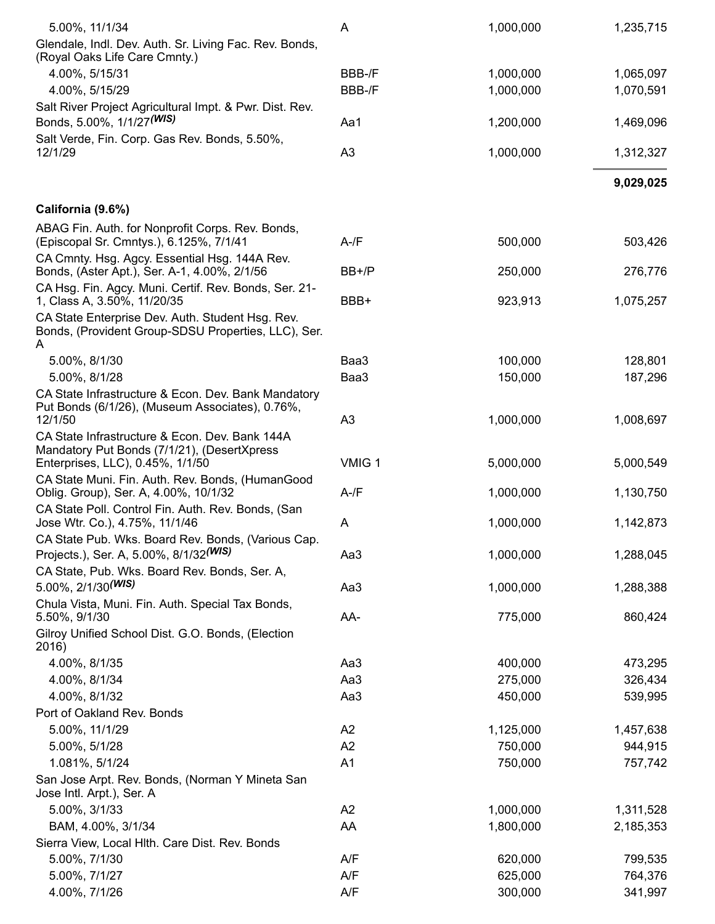| 5.00%, 11/1/34                                                                                                                    | A              | 1,000,000 | 1,235,715 |
|-----------------------------------------------------------------------------------------------------------------------------------|----------------|-----------|-----------|
| Glendale, Indl. Dev. Auth. Sr. Living Fac. Rev. Bonds,<br>(Royal Oaks Life Care Cmnty.)                                           |                |           |           |
| 4.00%, 5/15/31                                                                                                                    | BBB-/F         | 1,000,000 | 1,065,097 |
| 4.00%, 5/15/29                                                                                                                    | BBB-/F         | 1,000,000 | 1,070,591 |
| Salt River Project Agricultural Impt. & Pwr. Dist. Rev.<br>Bonds, 5.00%, 1/1/27(WIS)                                              | Aa1            | 1,200,000 | 1,469,096 |
| Salt Verde, Fin. Corp. Gas Rev. Bonds, 5.50%,<br>12/1/29                                                                          | A3             | 1,000,000 | 1,312,327 |
|                                                                                                                                   |                |           |           |
|                                                                                                                                   |                |           | 9,029,025 |
| California (9.6%)                                                                                                                 |                |           |           |
| ABAG Fin. Auth. for Nonprofit Corps. Rev. Bonds,                                                                                  |                |           |           |
| (Episcopal Sr. Cmntys.), 6.125%, 7/1/41                                                                                           | $A$ -/ $F$     | 500,000   | 503,426   |
| CA Cmnty. Hsg. Agcy. Essential Hsg. 144A Rev.<br>Bonds, (Aster Apt.), Ser. A-1, 4.00%, 2/1/56                                     | BB+/P          | 250,000   | 276,776   |
| CA Hsg. Fin. Agcy. Muni. Certif. Rev. Bonds, Ser. 21-<br>1, Class A, 3.50%, 11/20/35                                              | BBB+           | 923,913   | 1,075,257 |
| CA State Enterprise Dev. Auth. Student Hsg. Rev.<br>Bonds, (Provident Group-SDSU Properties, LLC), Ser.<br>A                      |                |           |           |
| 5.00%, 8/1/30                                                                                                                     | Baa3           | 100,000   | 128,801   |
| 5.00%, 8/1/28                                                                                                                     | Baa3           | 150,000   | 187,296   |
| CA State Infrastructure & Econ. Dev. Bank Mandatory<br>Put Bonds (6/1/26), (Museum Associates), 0.76%,                            |                |           |           |
| 12/1/50                                                                                                                           | A3             | 1,000,000 | 1,008,697 |
| CA State Infrastructure & Econ. Dev. Bank 144A<br>Mandatory Put Bonds (7/1/21), (DesertXpress<br>Enterprises, LLC), 0.45%, 1/1/50 | VMIG 1         | 5,000,000 | 5,000,549 |
| CA State Muni. Fin. Auth. Rev. Bonds, (HumanGood                                                                                  |                |           |           |
| Oblig. Group), Ser. A, 4.00%, 10/1/32                                                                                             | $A-fF$         | 1,000,000 | 1,130,750 |
| CA State Poll. Control Fin. Auth. Rev. Bonds, (San<br>Jose Wtr. Co.), 4.75%, 11/1/46                                              | A              | 1,000,000 | 1,142,873 |
| CA State Pub. Wks. Board Rev. Bonds, (Various Cap.                                                                                |                |           |           |
| Projects.), Ser. A, 5.00%, 8/1/32(WIS)                                                                                            | Aa3            | 1,000,000 | 1,288,045 |
| CA State, Pub. Wks. Board Rev. Bonds, Ser. A,<br>5.00%, $2/1/30$ <sup>(WIS)</sup>                                                 | Aa3            | 1,000,000 | 1,288,388 |
| Chula Vista, Muni. Fin. Auth. Special Tax Bonds,                                                                                  |                |           |           |
| 5.50%, 9/1/30                                                                                                                     | AA-            | 775,000   | 860,424   |
| Gilroy Unified School Dist. G.O. Bonds, (Election<br>2016)                                                                        |                |           |           |
| 4.00%, 8/1/35                                                                                                                     | Aa3            | 400,000   | 473,295   |
| 4.00%, 8/1/34                                                                                                                     | Aa3            | 275,000   | 326,434   |
| 4.00%, 8/1/32                                                                                                                     | Aa3            | 450,000   | 539,995   |
| Port of Oakland Rev. Bonds                                                                                                        |                |           |           |
| 5.00%, 11/1/29                                                                                                                    | A <sub>2</sub> | 1,125,000 | 1,457,638 |
| 5.00%, 5/1/28                                                                                                                     | A2             | 750,000   | 944,915   |
| 1.081%, 5/1/24                                                                                                                    | A1             | 750,000   | 757,742   |
| San Jose Arpt. Rev. Bonds, (Norman Y Mineta San<br>Jose Intl. Arpt.), Ser. A                                                      |                |           |           |
| 5.00%, 3/1/33                                                                                                                     | A2             | 1,000,000 | 1,311,528 |
| BAM, 4.00%, 3/1/34                                                                                                                | AA             | 1,800,000 | 2,185,353 |
| Sierra View, Local Hlth. Care Dist. Rev. Bonds                                                                                    |                |           |           |
| 5.00%, 7/1/30                                                                                                                     | A/F            | 620,000   | 799,535   |
| 5.00%, 7/1/27                                                                                                                     | A/F            | 625,000   | 764,376   |
| 4.00%, 7/1/26                                                                                                                     | A/F            | 300,000   | 341,997   |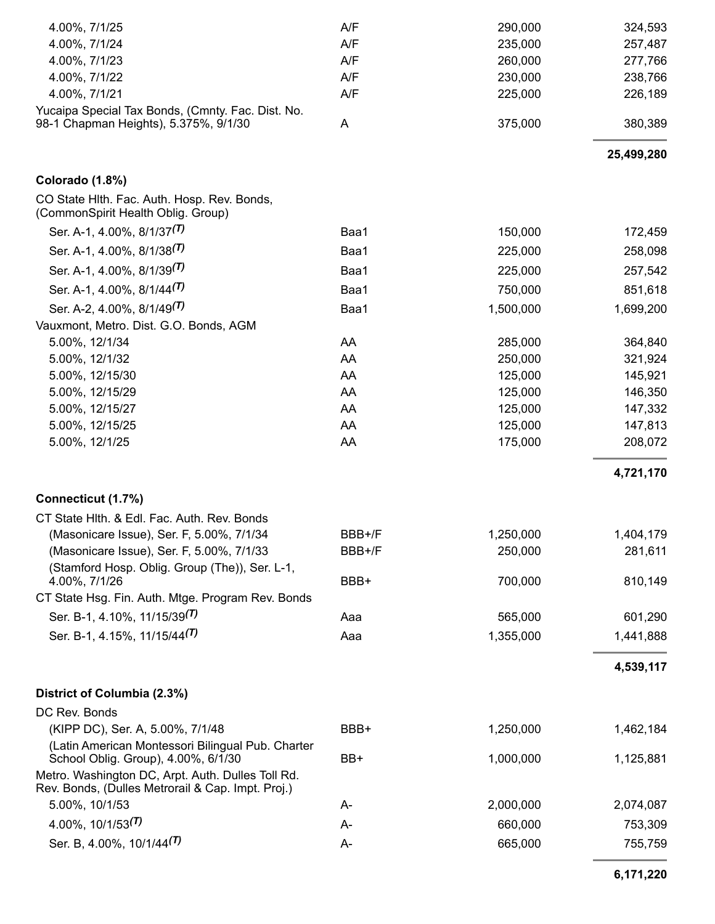| 4.00%, 7/1/25                                                                                          | A/F    | 290,000   | 324,593    |
|--------------------------------------------------------------------------------------------------------|--------|-----------|------------|
| 4.00%, 7/1/24                                                                                          | A/F    | 235,000   | 257,487    |
| 4.00%, 7/1/23                                                                                          | A/F    | 260,000   | 277,766    |
| 4.00%, 7/1/22                                                                                          | A/F    | 230,000   | 238,766    |
| 4.00%, 7/1/21                                                                                          | A/F    | 225,000   | 226,189    |
| Yucaipa Special Tax Bonds, (Cmnty. Fac. Dist. No.<br>98-1 Chapman Heights), 5.375%, 9/1/30             | A      | 375,000   | 380,389    |
|                                                                                                        |        |           | 25,499,280 |
| Colorado (1.8%)                                                                                        |        |           |            |
| CO State Hith. Fac. Auth. Hosp. Rev. Bonds,<br>(CommonSpirit Health Oblig. Group)                      |        |           |            |
| Ser. A-1, 4.00%, 8/1/37 <sup>(T)</sup>                                                                 | Baa1   | 150,000   | 172,459    |
| Ser. A-1, 4.00%, 8/1/38 <sup>(T)</sup>                                                                 | Baa1   | 225,000   | 258,098    |
| Ser. A-1, 4.00%, 8/1/39 <sup>(T)</sup>                                                                 | Baa1   | 225,000   | 257,542    |
| Ser. A-1, 4.00%, 8/1/44 <sup>(T)</sup>                                                                 | Baa1   | 750,000   | 851,618    |
| Ser. A-2, 4.00%, 8/1/49(T)                                                                             | Baa1   | 1,500,000 | 1,699,200  |
| Vauxmont, Metro. Dist. G.O. Bonds, AGM                                                                 |        |           |            |
| 5.00%, 12/1/34                                                                                         | AA     | 285,000   | 364,840    |
| 5.00%, 12/1/32                                                                                         | AA     | 250,000   | 321,924    |
| 5.00%, 12/15/30                                                                                        | AA     | 125,000   | 145,921    |
| 5.00%, 12/15/29                                                                                        | AA     | 125,000   | 146,350    |
| 5.00%, 12/15/27                                                                                        | AA     | 125,000   | 147,332    |
| 5.00%, 12/15/25                                                                                        | AA     | 125,000   | 147,813    |
| 5.00%, 12/1/25                                                                                         | AA     | 175,000   | 208,072    |
|                                                                                                        |        |           | 4,721,170  |
| Connecticut (1.7%)                                                                                     |        |           |            |
| CT State Hlth. & Edl. Fac. Auth. Rev. Bonds                                                            |        |           |            |
| (Masonicare Issue), Ser. F, 5.00%, 7/1/34                                                              | BBB+/F | 1,250,000 | 1,404,179  |
| (Masonicare Issue), Ser. F, 5.00%, 7/1/33<br>(Stamford Hosp. Oblig. Group (The)), Ser. L-1,            | BBB+/F | 250,000   | 281,611    |
| 4.00%, 7/1/26<br>CT State Hsg. Fin. Auth. Mtge. Program Rev. Bonds                                     | BBB+   | 700,000   | 810,149    |
| Ser. B-1, 4.10%, 11/15/39 <sup>(T)</sup>                                                               | Aaa    | 565,000   | 601,290    |
| Ser. B-1, 4.15%, 11/15/44 <sup>(T)</sup>                                                               | Aaa    | 1,355,000 | 1,441,888  |
|                                                                                                        |        |           | 4,539,117  |
| District of Columbia (2.3%)                                                                            |        |           |            |
| DC Rev. Bonds                                                                                          |        |           |            |
| (KIPP DC), Ser. A, 5.00%, 7/1/48<br>(Latin American Montessori Bilingual Pub. Charter                  | BBB+   | 1,250,000 | 1,462,184  |
| School Oblig. Group), 4.00%, 6/1/30                                                                    | BB+    | 1,000,000 | 1,125,881  |
| Metro. Washington DC, Arpt. Auth. Dulles Toll Rd.<br>Rev. Bonds, (Dulles Metrorail & Cap. Impt. Proj.) |        |           |            |
| 5.00%, 10/1/53                                                                                         | A-     | 2,000,000 | 2,074,087  |
| 4.00%, 10/1/53 $(D)$                                                                                   | A-     | 660,000   | 753,309    |
| Ser. B, 4.00%, 10/1/44 <sup>(T)</sup>                                                                  | A-     | 665,000   | 755,759    |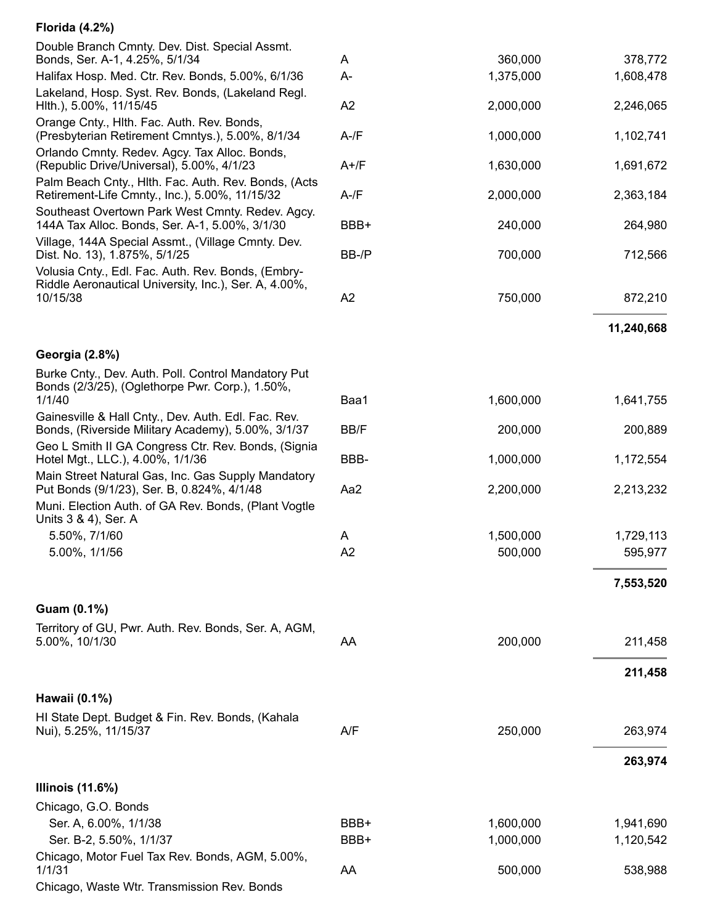| Double Branch Cmnty. Dev. Dist. Special Assmt.<br>Bonds, Ser. A-1, 4.25%, 5/1/34                                 | A              | 360,000   | 378,772    |
|------------------------------------------------------------------------------------------------------------------|----------------|-----------|------------|
| Halifax Hosp. Med. Ctr. Rev. Bonds, 5.00%, 6/1/36                                                                | A-             | 1,375,000 | 1,608,478  |
| Lakeland, Hosp. Syst. Rev. Bonds, (Lakeland Regl.<br>Hlth.), 5.00%, 11/15/45                                     | A2             | 2,000,000 | 2,246,065  |
| Orange Cnty., Hith. Fac. Auth. Rev. Bonds,<br>(Presbyterian Retirement Cmntys.), 5.00%, 8/1/34                   | $A-fF$         | 1,000,000 | 1,102,741  |
| Orlando Cmnty. Redev. Agcy. Tax Alloc. Bonds,<br>(Republic Drive/Universal), 5.00%, 4/1/23                       | $A+$ /F        | 1,630,000 | 1,691,672  |
| Palm Beach Cnty., Hlth. Fac. Auth. Rev. Bonds, (Acts<br>Retirement-Life Cmnty., Inc.), 5.00%, 11/15/32           | $A-fF$         | 2,000,000 | 2,363,184  |
| Southeast Overtown Park West Cmnty. Redev. Agcy.<br>144A Tax Alloc. Bonds, Ser. A-1, 5.00%, 3/1/30               | BBB+           | 240,000   | 264,980    |
| Village, 144A Special Assmt., (Village Cmnty. Dev.<br>Dist. No. 13), 1.875%, 5/1/25                              | BB-/P          | 700,000   | 712,566    |
| Volusia Cnty., Edl. Fac. Auth. Rev. Bonds, (Embry-<br>Riddle Aeronautical University, Inc.), Ser. A, 4.00%,      |                |           |            |
| 10/15/38                                                                                                         | A <sub>2</sub> | 750,000   | 872,210    |
|                                                                                                                  |                |           | 11,240,668 |
| Georgia (2.8%)                                                                                                   |                |           |            |
| Burke Cnty., Dev. Auth. Poll. Control Mandatory Put<br>Bonds (2/3/25), (Oglethorpe Pwr. Corp.), 1.50%,<br>1/1/40 | Baa1           | 1,600,000 | 1,641,755  |
| Gainesville & Hall Cnty., Dev. Auth. Edl. Fac. Rev.                                                              |                |           |            |
| Bonds, (Riverside Military Academy), 5.00%, 3/1/37<br>Geo L Smith II GA Congress Ctr. Rev. Bonds, (Signia        | BB/F           | 200,000   | 200,889    |
| Hotel Mgt., LLC.), 4.00%, 1/1/36                                                                                 | BBB-           | 1,000,000 | 1,172,554  |
| Main Street Natural Gas, Inc. Gas Supply Mandatory<br>Put Bonds (9/1/23), Ser. B, 0.824%, 4/1/48                 | Aa2            | 2,200,000 | 2,213,232  |
| Muni. Election Auth. of GA Rev. Bonds, (Plant Vogtle<br>Units 3 & 4), Ser. A                                     |                |           |            |
| 5.50%, 7/1/60                                                                                                    | A              | 1,500,000 | 1,729,113  |
| 5.00%, 1/1/56                                                                                                    | A2             | 500,000   | 595,977    |
|                                                                                                                  |                |           | 7,553,520  |
| Guam (0.1%)                                                                                                      |                |           |            |
| Territory of GU, Pwr. Auth. Rev. Bonds, Ser. A, AGM,<br>5.00%, 10/1/30                                           | AA             | 200,000   | 211,458    |
|                                                                                                                  |                |           | 211,458    |
|                                                                                                                  |                |           |            |
| Hawaii (0.1%)                                                                                                    |                |           |            |
| HI State Dept. Budget & Fin. Rev. Bonds, (Kahala<br>Nui), 5.25%, 11/15/37                                        | A/F            | 250,000   | 263,974    |
|                                                                                                                  |                |           | 263,974    |
| <b>Illinois (11.6%)</b>                                                                                          |                |           |            |
| Chicago, G.O. Bonds                                                                                              |                |           |            |
| Ser. A, 6.00%, 1/1/38                                                                                            | BBB+           | 1,600,000 | 1,941,690  |
| Ser. B-2, 5.50%, 1/1/37                                                                                          | BBB+           | 1,000,000 | 1,120,542  |
| Chicago, Motor Fuel Tax Rev. Bonds, AGM, 5.00%,<br>1/1/31                                                        | AA             | 500,000   | 538,988    |
| Chicago, Waste Wtr. Transmission Rev. Bonds                                                                      |                |           |            |

**Florida (4.2%)**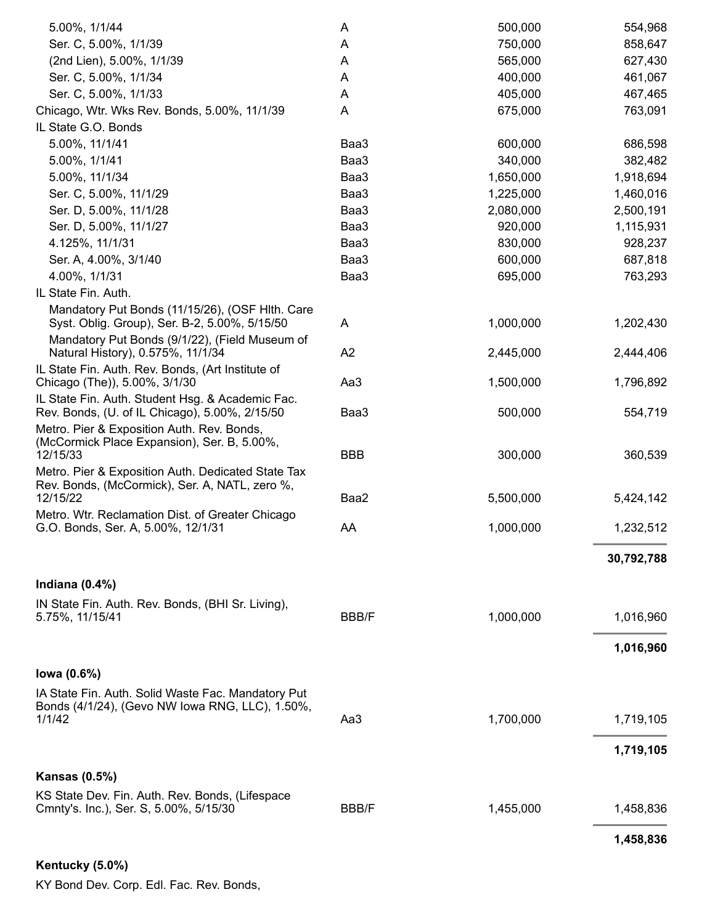| 5.00%, 1/1/44                                                                                                    | A            | 500,000   | 554,968    |
|------------------------------------------------------------------------------------------------------------------|--------------|-----------|------------|
| Ser. C, 5.00%, 1/1/39                                                                                            | Α            | 750,000   | 858,647    |
| (2nd Lien), 5.00%, 1/1/39                                                                                        | A            | 565,000   | 627,430    |
| Ser. C, 5.00%, 1/1/34                                                                                            | A            | 400,000   | 461,067    |
| Ser. C, 5.00%, 1/1/33                                                                                            | A            | 405,000   | 467,465    |
| Chicago, Wtr. Wks Rev. Bonds, 5.00%, 11/1/39                                                                     | A            | 675,000   | 763,091    |
| IL State G.O. Bonds                                                                                              |              |           |            |
| 5.00%, 11/1/41                                                                                                   | Baa3         | 600,000   | 686,598    |
| 5.00%, 1/1/41                                                                                                    | Baa3         | 340,000   | 382,482    |
| 5.00%, 11/1/34                                                                                                   | Baa3         | 1,650,000 | 1,918,694  |
| Ser. C, 5.00%, 11/1/29                                                                                           | Baa3         | 1,225,000 | 1,460,016  |
| Ser. D, 5.00%, 11/1/28                                                                                           | Baa3         | 2,080,000 | 2,500,191  |
| Ser. D, 5.00%, 11/1/27                                                                                           | Baa3         | 920,000   | 1,115,931  |
| 4.125%, 11/1/31                                                                                                  | Baa3         | 830,000   | 928,237    |
| Ser. A, 4.00%, 3/1/40                                                                                            | Baa3         | 600,000   | 687,818    |
| 4.00%, 1/1/31                                                                                                    | Baa3         | 695,000   | 763,293    |
| IL State Fin. Auth.                                                                                              |              |           |            |
| Mandatory Put Bonds (11/15/26), (OSF Hlth. Care<br>Syst. Oblig. Group), Ser. B-2, 5.00%, 5/15/50                 | A            | 1,000,000 | 1,202,430  |
| Mandatory Put Bonds (9/1/22), (Field Museum of<br>Natural History), 0.575%, 11/1/34                              | A2           | 2,445,000 | 2,444,406  |
| IL State Fin. Auth. Rev. Bonds, (Art Institute of<br>Chicago (The)), 5.00%, 3/1/30                               | Aa3          | 1,500,000 | 1,796,892  |
| IL State Fin. Auth. Student Hsg. & Academic Fac.<br>Rev. Bonds, (U. of IL Chicago), 5.00%, 2/15/50               | Baa3         | 500,000   | 554,719    |
| Metro. Pier & Exposition Auth. Rev. Bonds,<br>(McCormick Place Expansion), Ser. B, 5.00%,<br>12/15/33            | <b>BBB</b>   | 300,000   | 360,539    |
| Metro. Pier & Exposition Auth. Dedicated State Tax<br>Rev. Bonds, (McCormick), Ser. A, NATL, zero %,<br>12/15/22 | Baa2         | 5,500,000 | 5,424,142  |
| Metro. Wtr. Reclamation Dist. of Greater Chicago                                                                 |              |           |            |
| G.O. Bonds, Ser. A, 5.00%, 12/1/31                                                                               | AA           | 1,000,000 | 1,232,512  |
|                                                                                                                  |              |           | 30,792,788 |
| Indiana $(0.4\%)$                                                                                                |              |           |            |
| IN State Fin. Auth. Rev. Bonds, (BHI Sr. Living),<br>5.75%, 11/15/41                                             | <b>BBB/F</b> | 1,000,000 | 1,016,960  |
|                                                                                                                  |              |           | 1,016,960  |
| lowa (0.6%)                                                                                                      |              |           |            |
| IA State Fin. Auth. Solid Waste Fac. Mandatory Put<br>Bonds (4/1/24), (Gevo NW Iowa RNG, LLC), 1.50%,<br>1/1/42  | Aa3          | 1,700,000 | 1,719,105  |
|                                                                                                                  |              |           | 1,719,105  |
| <b>Kansas (0.5%)</b>                                                                                             |              |           |            |
| KS State Dev. Fin. Auth. Rev. Bonds, (Lifespace                                                                  |              |           |            |
| Cmnty's. Inc.), Ser. S, 5.00%, 5/15/30                                                                           | <b>BBB/F</b> | 1,455,000 | 1,458,836  |
|                                                                                                                  |              |           | 1,458,836  |
| Kentucky (5.0%)                                                                                                  |              |           |            |

KY Bond Dev. Corp. Edl. Fac. Rev. Bonds,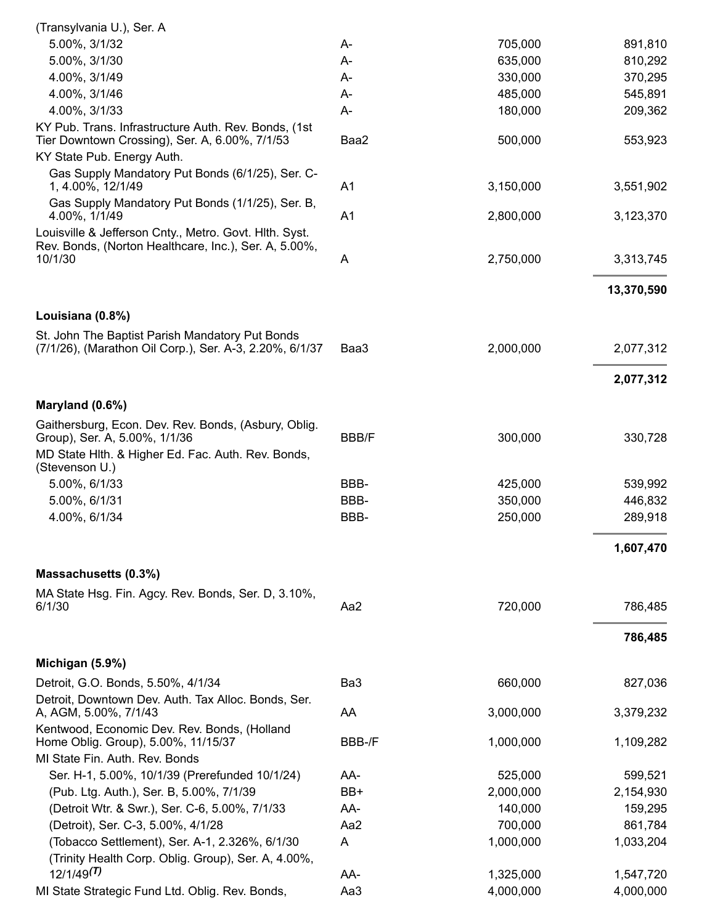| (Transylvania U.), Ser. A                                                                                                                   |                |                      |                      |
|---------------------------------------------------------------------------------------------------------------------------------------------|----------------|----------------------|----------------------|
| 5.00%, 3/1/32                                                                                                                               | A-             | 705,000              | 891,810              |
| 5.00%, 3/1/30                                                                                                                               | А-             | 635,000              | 810,292              |
| 4.00%, 3/1/49                                                                                                                               | А-             | 330,000              | 370,295              |
| 4.00%, 3/1/46                                                                                                                               | $A-$           | 485,000              | 545,891              |
| 4.00%, 3/1/33                                                                                                                               | A-             | 180,000              | 209,362              |
| KY Pub. Trans. Infrastructure Auth. Rev. Bonds, (1st<br>Tier Downtown Crossing), Ser. A, 6.00%, 7/1/53<br>KY State Pub. Energy Auth.        | Baa2           | 500,000              | 553,923              |
| Gas Supply Mandatory Put Bonds (6/1/25), Ser. C-<br>1, 4.00%, 12/1/49                                                                       | A1             | 3,150,000            | 3,551,902            |
| Gas Supply Mandatory Put Bonds (1/1/25), Ser. B,<br>4.00%, 1/1/49                                                                           | A <sub>1</sub> | 2,800,000            | 3,123,370            |
| Louisville & Jefferson Cnty., Metro. Govt. Hlth. Syst.<br>Rev. Bonds, (Norton Healthcare, Inc.), Ser. A, 5.00%,<br>10/1/30                  | A              | 2,750,000            | 3,313,745            |
|                                                                                                                                             |                |                      |                      |
|                                                                                                                                             |                |                      | 13,370,590           |
| Louisiana (0.8%)                                                                                                                            |                |                      |                      |
| St. John The Baptist Parish Mandatory Put Bonds<br>(7/1/26), (Marathon Oil Corp.), Ser. A-3, 2.20%, 6/1/37                                  | Baa3           | 2,000,000            | 2,077,312            |
|                                                                                                                                             |                |                      | 2,077,312            |
| Maryland (0.6%)                                                                                                                             |                |                      |                      |
| Gaithersburg, Econ. Dev. Rev. Bonds, (Asbury, Oblig.<br>Group), Ser. A, 5.00%, 1/1/36<br>MD State Hith. & Higher Ed. Fac. Auth. Rev. Bonds, | <b>BBB/F</b>   | 300,000              | 330,728              |
| (Stevenson U.)<br>5.00%, 6/1/33                                                                                                             | BBB-           | 425,000              | 539,992              |
| 5.00%, 6/1/31                                                                                                                               | BBB-           | 350,000              | 446,832              |
| 4.00%, 6/1/34                                                                                                                               | BBB-           | 250,000              | 289,918              |
|                                                                                                                                             |                |                      | 1,607,470            |
| Massachusetts (0.3%)                                                                                                                        |                |                      |                      |
| MA State Hsg. Fin. Agcy. Rev. Bonds, Ser. D, 3.10%,                                                                                         |                |                      |                      |
| 6/1/30                                                                                                                                      | Aa2            | 720,000              | 786,485              |
|                                                                                                                                             |                |                      | 786,485              |
| Michigan (5.9%)                                                                                                                             |                |                      |                      |
| Detroit, G.O. Bonds, 5.50%, 4/1/34                                                                                                          | Ba3            | 660,000              | 827,036              |
| Detroit, Downtown Dev. Auth. Tax Alloc. Bonds, Ser.<br>A, AGM, 5.00%, 7/1/43                                                                | AA             | 3,000,000            | 3,379,232            |
| Kentwood, Economic Dev. Rev. Bonds, (Holland<br>Home Oblig. Group), 5.00%, 11/15/37                                                         | BBB-/F         | 1,000,000            | 1,109,282            |
| MI State Fin. Auth. Rev. Bonds                                                                                                              |                |                      |                      |
| Ser. H-1, 5.00%, 10/1/39 (Prerefunded 10/1/24)<br>(Pub. Ltg. Auth.), Ser. B, 5.00%, 7/1/39                                                  | AA-<br>BB+     | 525,000<br>2,000,000 | 599,521<br>2,154,930 |
| (Detroit Wtr. & Swr.), Ser. C-6, 5.00%, 7/1/33                                                                                              | AA-            | 140,000              | 159,295              |
| (Detroit), Ser. C-3, 5.00%, 4/1/28                                                                                                          | Aa2            | 700,000              | 861,784              |
| (Tobacco Settlement), Ser. A-1, 2.326%, 6/1/30                                                                                              | A              | 1,000,000            | 1,033,204            |
| (Trinity Health Corp. Oblig. Group), Ser. A, 4.00%,                                                                                         |                |                      |                      |
| $12/1/49^{(T)}$                                                                                                                             | AA-            | 1,325,000            | 1,547,720            |
| MI State Strategic Fund Ltd. Oblig. Rev. Bonds,                                                                                             | Aa3            | 4,000,000            | 4,000,000            |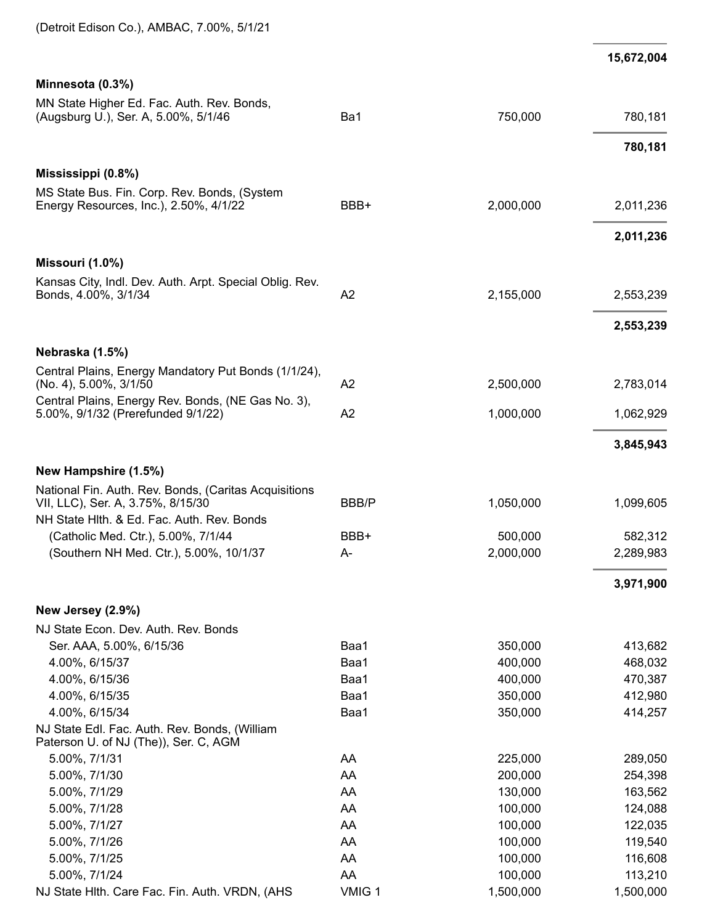**15,672,004**

| Minnesota (0.3%)                                                                                         |                |           |           |
|----------------------------------------------------------------------------------------------------------|----------------|-----------|-----------|
| MN State Higher Ed. Fac. Auth. Rev. Bonds,<br>(Augsburg U.), Ser. A, 5.00%, 5/1/46                       | Ba1            | 750,000   | 780,181   |
|                                                                                                          |                |           | 780,181   |
| Mississippi (0.8%)                                                                                       |                |           |           |
| MS State Bus. Fin. Corp. Rev. Bonds, (System<br>Energy Resources, Inc.), 2.50%, 4/1/22                   | BBB+           | 2,000,000 | 2,011,236 |
|                                                                                                          |                |           | 2,011,236 |
| Missouri (1.0%)                                                                                          |                |           |           |
| Kansas City, Indl. Dev. Auth. Arpt. Special Oblig. Rev.<br>Bonds, 4.00%, 3/1/34                          | A <sub>2</sub> | 2,155,000 | 2,553,239 |
|                                                                                                          |                |           | 2,553,239 |
| Nebraska (1.5%)                                                                                          |                |           |           |
| Central Plains, Energy Mandatory Put Bonds (1/1/24),<br>(No. 4), 5.00%, 3/1/50                           | A2             | 2,500,000 | 2,783,014 |
| Central Plains, Energy Rev. Bonds, (NE Gas No. 3),<br>5.00%, 9/1/32 (Prerefunded 9/1/22)                 | A2             | 1,000,000 | 1,062,929 |
|                                                                                                          |                |           | 3,845,943 |
| New Hampshire (1.5%)                                                                                     |                |           |           |
| National Fin. Auth. Rev. Bonds, (Caritas Acquisitions<br>VII, LLC), Ser. A, 3.75%, 8/15/30               | <b>BBB/P</b>   | 1,050,000 | 1,099,605 |
| NH State Hith. & Ed. Fac. Auth. Rev. Bonds<br>(Catholic Med. Ctr.), 5.00%, 7/1/44                        | BBB+           | 500,000   | 582,312   |
| (Southern NH Med. Ctr.), 5.00%, 10/1/37                                                                  | A-             | 2,000,000 | 2,289,983 |
|                                                                                                          |                |           |           |
|                                                                                                          |                |           | 3,971,900 |
| New Jersey (2.9%)                                                                                        |                |           |           |
| NJ State Econ. Dev. Auth. Rev. Bonds                                                                     |                |           |           |
| Ser. AAA, 5.00%, 6/15/36                                                                                 | Baa1           | 350,000   | 413,682   |
| 4.00%, 6/15/37                                                                                           | Baa1           | 400,000   | 468,032   |
| 4.00%, 6/15/36                                                                                           | Baa1           | 400,000   | 470,387   |
| 4.00%, 6/15/35                                                                                           | Baa1           | 350,000   | 412,980   |
| 4.00%, 6/15/34<br>NJ State Edl. Fac. Auth. Rev. Bonds, (William<br>Paterson U. of NJ (The)), Ser. C, AGM | Baa1           | 350,000   | 414,257   |
| 5.00%, 7/1/31                                                                                            | AA             | 225,000   | 289,050   |
| 5.00%, 7/1/30                                                                                            | AA             | 200,000   | 254,398   |
| 5.00%, 7/1/29                                                                                            | AA             | 130,000   | 163,562   |
| 5.00%, 7/1/28                                                                                            | AA             | 100,000   | 124,088   |
| 5.00%, 7/1/27                                                                                            | AA             | 100,000   | 122,035   |
| 5.00%, 7/1/26                                                                                            | AA             | 100,000   | 119,540   |
| 5.00%, 7/1/25                                                                                            | AA             | 100,000   |           |
|                                                                                                          |                |           | 116,608   |
| 5.00%, 7/1/24                                                                                            | AA<br>VMIG 1   | 100,000   | 113,210   |
| NJ State Hith. Care Fac. Fin. Auth. VRDN, (AHS                                                           |                | 1,500,000 | 1,500,000 |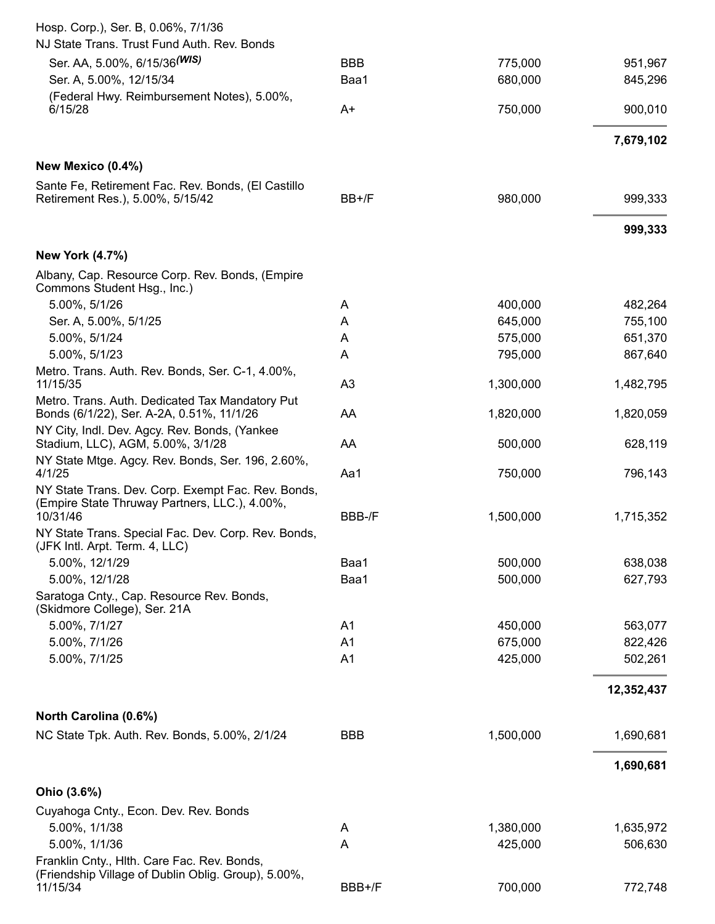| Hosp. Corp.), Ser. B, 0.06%, 7/1/36                                                                             |                |           |            |
|-----------------------------------------------------------------------------------------------------------------|----------------|-----------|------------|
| NJ State Trans. Trust Fund Auth. Rev. Bonds                                                                     |                |           |            |
| Ser. AA, 5.00%, 6/15/36 <sup>(WIS)</sup>                                                                        | <b>BBB</b>     | 775,000   | 951,967    |
| Ser. A, 5.00%, 12/15/34                                                                                         | Baa1           | 680,000   | 845,296    |
| (Federal Hwy. Reimbursement Notes), 5.00%,<br>6/15/28                                                           | A+             | 750,000   | 900,010    |
|                                                                                                                 |                |           | 7,679,102  |
| New Mexico (0.4%)                                                                                               |                |           |            |
| Sante Fe, Retirement Fac. Rev. Bonds, (El Castillo<br>Retirement Res.), 5.00%, 5/15/42                          | BB+/F          | 980,000   | 999,333    |
|                                                                                                                 |                |           | 999,333    |
| <b>New York (4.7%)</b>                                                                                          |                |           |            |
| Albany, Cap. Resource Corp. Rev. Bonds, (Empire<br>Commons Student Hsg., Inc.)                                  |                |           |            |
| 5.00%, 5/1/26                                                                                                   | A              | 400,000   | 482,264    |
| Ser. A, 5.00%, 5/1/25                                                                                           | A              | 645,000   | 755,100    |
| 5.00%, 5/1/24                                                                                                   | A              | 575,000   | 651,370    |
| 5.00%, 5/1/23                                                                                                   | A              | 795,000   | 867,640    |
| Metro. Trans. Auth. Rev. Bonds, Ser. C-1, 4.00%,<br>11/15/35                                                    | A <sub>3</sub> | 1,300,000 | 1,482,795  |
| Metro. Trans. Auth. Dedicated Tax Mandatory Put<br>Bonds (6/1/22), Ser. A-2A, 0.51%, 11/1/26                    | AA             | 1,820,000 | 1,820,059  |
| NY City, Indl. Dev. Agcy. Rev. Bonds, (Yankee<br>Stadium, LLC), AGM, 5.00%, 3/1/28                              | AA             | 500,000   | 628,119    |
| NY State Mtge. Agcy. Rev. Bonds, Ser. 196, 2.60%,<br>4/1/25                                                     | Aa1            | 750,000   | 796,143    |
| NY State Trans. Dev. Corp. Exempt Fac. Rev. Bonds,<br>(Empire State Thruway Partners, LLC.), 4.00%,<br>10/31/46 | BBB-/F         | 1,500,000 | 1,715,352  |
| NY State Trans. Special Fac. Dev. Corp. Rev. Bonds,<br>(JFK Intl. Arpt. Term. 4, LLC)                           |                |           |            |
| 5.00%, 12/1/29                                                                                                  | Baa1           | 500,000   | 638,038    |
| 5.00%, 12/1/28                                                                                                  | Baa1           | 500,000   | 627,793    |
| Saratoga Cnty., Cap. Resource Rev. Bonds,<br>(Skidmore College), Ser. 21A                                       |                |           |            |
| 5.00%, 7/1/27                                                                                                   | A1             | 450,000   | 563,077    |
| 5.00%, 7/1/26                                                                                                   | A1             | 675,000   | 822,426    |
| 5.00%, 7/1/25                                                                                                   | A <sub>1</sub> | 425,000   | 502,261    |
|                                                                                                                 |                |           | 12,352,437 |
| North Carolina (0.6%)                                                                                           |                |           |            |
| NC State Tpk. Auth. Rev. Bonds, 5.00%, 2/1/24                                                                   | <b>BBB</b>     | 1,500,000 | 1,690,681  |
|                                                                                                                 |                |           | 1,690,681  |
| Ohio (3.6%)                                                                                                     |                |           |            |
| Cuyahoga Cnty., Econ. Dev. Rev. Bonds                                                                           |                |           |            |
| 5.00%, 1/1/38                                                                                                   | A              | 1,380,000 | 1,635,972  |
| 5.00%, 1/1/36                                                                                                   | A              | 425,000   | 506,630    |
| Franklin Cnty., Hlth. Care Fac. Rev. Bonds,<br>(Friendship Village of Dublin Oblig. Group), 5.00%,              |                |           |            |
| 11/15/34                                                                                                        | BBB+/F         | 700,000   | 772,748    |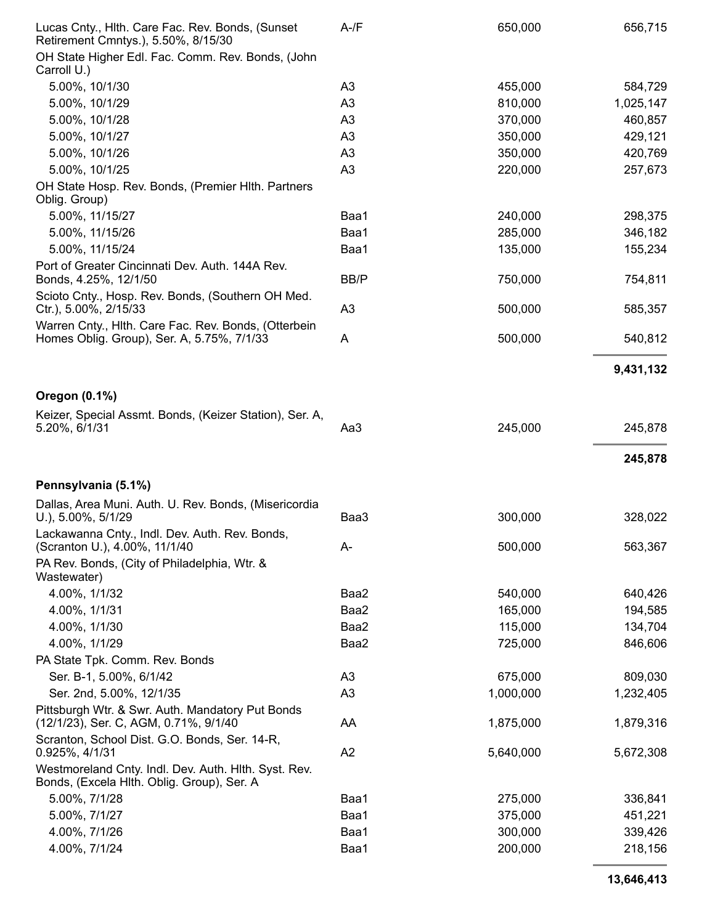| Lucas Cnty., Hith. Care Fac. Rev. Bonds, (Sunset<br>Retirement Cmntys.), 5.50%, 8/15/30            | $A-fF$         | 650,000            | 656,715            |
|----------------------------------------------------------------------------------------------------|----------------|--------------------|--------------------|
| OH State Higher Edl. Fac. Comm. Rev. Bonds, (John<br>Carroll U.)                                   |                |                    |                    |
| 5.00%, 10/1/30                                                                                     | A <sub>3</sub> | 455,000            | 584,729            |
| 5.00%, 10/1/29                                                                                     | A3             | 810,000            | 1,025,147          |
| 5.00%, 10/1/28                                                                                     | A <sub>3</sub> | 370,000            | 460,857            |
| 5.00%, 10/1/27                                                                                     | A <sub>3</sub> | 350,000            | 429,121            |
| 5.00%, 10/1/26                                                                                     | A <sub>3</sub> | 350,000            | 420,769            |
| 5.00%, 10/1/25                                                                                     | A <sub>3</sub> | 220,000            | 257,673            |
| OH State Hosp. Rev. Bonds, (Premier Hlth. Partners<br>Oblig. Group)                                |                |                    |                    |
| 5.00%, 11/15/27                                                                                    | Baa1           | 240,000            | 298,375            |
| 5.00%, 11/15/26                                                                                    | Baa1           | 285,000            | 346,182            |
| 5.00%, 11/15/24                                                                                    | Baa1           | 135,000            | 155,234            |
| Port of Greater Cincinnati Dev. Auth. 144A Rev.<br>Bonds, 4.25%, 12/1/50                           | BB/P           | 750,000            | 754,811            |
| Scioto Cnty., Hosp. Rev. Bonds, (Southern OH Med.                                                  |                |                    |                    |
| Ctr.), 5.00%, 2/15/33                                                                              | A <sub>3</sub> | 500,000            | 585,357            |
| Warren Cnty., Hlth. Care Fac. Rev. Bonds, (Otterbein<br>Homes Oblig. Group), Ser. A, 5.75%, 7/1/33 | A              | 500,000            | 540,812            |
|                                                                                                    |                |                    | 9,431,132          |
| Oregon (0.1%)                                                                                      |                |                    |                    |
| Keizer, Special Assmt. Bonds, (Keizer Station), Ser. A,<br>5.20%, 6/1/31                           | Aa3            | 245,000            | 245,878            |
|                                                                                                    |                |                    |                    |
|                                                                                                    |                |                    | 245,878            |
| Pennsylvania (5.1%)                                                                                |                |                    |                    |
| Dallas, Area Muni. Auth. U. Rev. Bonds, (Misericordia                                              |                |                    |                    |
| U.), 5.00%, 5/1/29<br>Lackawanna Cnty., Indl. Dev. Auth. Rev. Bonds,                               | Baa3           | 300,000            | 328,022            |
| (Scranton U.), 4.00%, 11/1/40<br>PA Rev. Bonds, (City of Philadelphia, Wtr. &                      | A-             | 500,000            | 563,367            |
| Wastewater)                                                                                        |                |                    |                    |
| 4.00%, 1/1/32                                                                                      | Baa2           | 540,000            | 640,426            |
| 4.00%, 1/1/31                                                                                      | Baa2           | 165,000            | 194,585            |
| 4.00%, 1/1/30                                                                                      | Baa2           | 115,000            | 134,704            |
| 4.00%, 1/1/29                                                                                      | Baa2           | 725,000            | 846,606            |
| PA State Tpk. Comm. Rev. Bonds                                                                     |                |                    |                    |
| Ser. B-1, 5.00%, 6/1/42                                                                            | A <sub>3</sub> | 675,000            | 809,030            |
| Ser. 2nd, 5.00%, 12/1/35                                                                           | A3             | 1,000,000          | 1,232,405          |
| Pittsburgh Wtr. & Swr. Auth. Mandatory Put Bonds<br>(12/1/23), Ser. C, AGM, 0.71%, 9/1/40          | AA             | 1,875,000          | 1,879,316          |
| Scranton, School Dist. G.O. Bonds, Ser. 14-R,<br>0.925%, 4/1/31                                    | A2             | 5,640,000          | 5,672,308          |
| Westmoreland Cnty. Indl. Dev. Auth. Hith. Syst. Rev.<br>Bonds, (Excela Hlth. Oblig. Group), Ser. A |                |                    |                    |
| 5.00%, 7/1/28                                                                                      | Baa1           | 275,000            | 336,841            |
| 5.00%, 7/1/27                                                                                      | Baa1           | 375,000            | 451,221            |
| 4.00%, 7/1/26<br>4.00%, 7/1/24                                                                     | Baa1<br>Baa1   | 300,000<br>200,000 | 339,426<br>218,156 |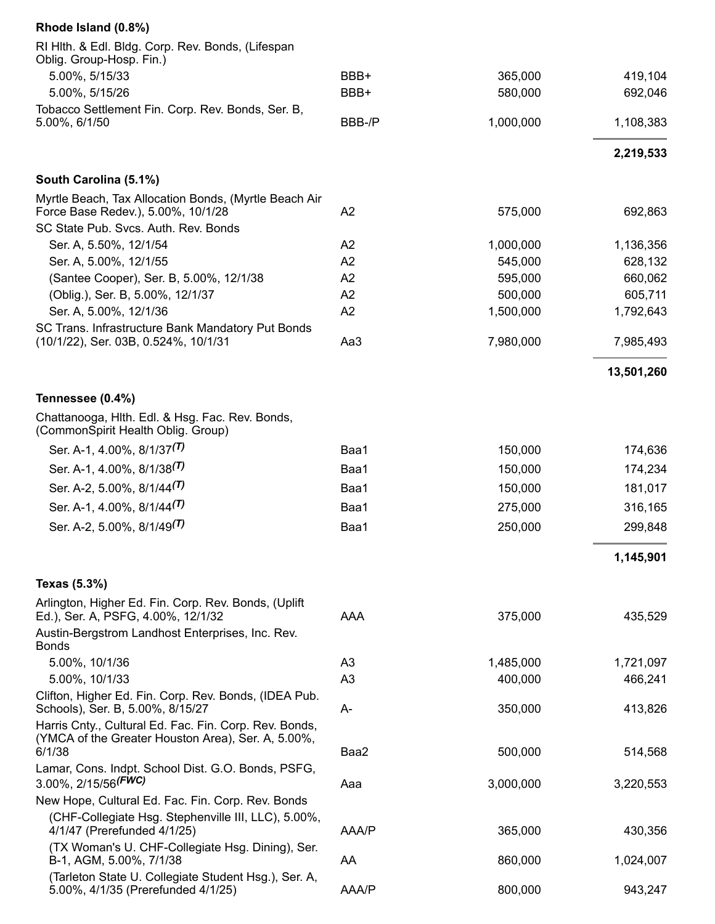| Rhode Island (0.8%)                                                                                          |                |           |            |
|--------------------------------------------------------------------------------------------------------------|----------------|-----------|------------|
| RI Hlth. & Edl. Bldg. Corp. Rev. Bonds, (Lifespan<br>Oblig. Group-Hosp. Fin.)                                |                |           |            |
| 5.00%, 5/15/33                                                                                               | BBB+           | 365,000   | 419,104    |
| 5.00%, 5/15/26                                                                                               | BBB+           | 580,000   | 692,046    |
| Tobacco Settlement Fin. Corp. Rev. Bonds, Ser. B,<br>5.00%, 6/1/50                                           | BBB-/P         | 1,000,000 | 1,108,383  |
|                                                                                                              |                |           | 2,219,533  |
| South Carolina (5.1%)                                                                                        |                |           |            |
| Myrtle Beach, Tax Allocation Bonds, (Myrtle Beach Air                                                        |                |           |            |
| Force Base Redev.), 5.00%, 10/1/28                                                                           | A2             | 575,000   | 692,863    |
| SC State Pub. Svcs. Auth. Rev. Bonds                                                                         |                |           |            |
| Ser. A, 5.50%, 12/1/54                                                                                       | A2             | 1,000,000 | 1,136,356  |
| Ser. A, 5.00%, 12/1/55                                                                                       | A2             | 545,000   | 628,132    |
| (Santee Cooper), Ser. B, 5.00%, 12/1/38                                                                      | A2             | 595,000   | 660,062    |
| (Oblig.), Ser. B, 5.00%, 12/1/37                                                                             | A2             | 500,000   | 605,711    |
| Ser. A, 5.00%, 12/1/36<br>SC Trans. Infrastructure Bank Mandatory Put Bonds                                  | A2             | 1,500,000 | 1,792,643  |
| (10/1/22), Ser. 03B, 0.524%, 10/1/31                                                                         | Aa3            | 7,980,000 | 7,985,493  |
|                                                                                                              |                |           | 13,501,260 |
| Tennessee (0.4%)                                                                                             |                |           |            |
| Chattanooga, Hith. Edl. & Hsg. Fac. Rev. Bonds,<br>(CommonSpirit Health Oblig. Group)                        |                |           |            |
| Ser. A-1, 4.00%, 8/1/37 <sup>(T)</sup>                                                                       | Baa1           | 150,000   | 174,636    |
| Ser. A-1, 4.00%, 8/1/38 <sup>(T)</sup>                                                                       | Baa1           | 150,000   | 174,234    |
| Ser. A-2, 5.00%, 8/1/44 <sup>(T)</sup>                                                                       | Baa1           | 150,000   | 181,017    |
| Ser. A-1, 4.00%, 8/1/44 <sup>(T)</sup>                                                                       | Baa1           | 275,000   | 316,165    |
| Ser. A-2, 5.00%, 8/1/49 <sup>(T)</sup>                                                                       | Baa1           | 250,000   | 299,848    |
|                                                                                                              |                |           |            |
|                                                                                                              |                |           | 1,145,901  |
| Texas (5.3%)                                                                                                 |                |           |            |
| Arlington, Higher Ed. Fin. Corp. Rev. Bonds, (Uplift<br>Ed.), Ser. A, PSFG, 4.00%, 12/1/32                   | AAA            | 375,000   | 435,529    |
| Austin-Bergstrom Landhost Enterprises, Inc. Rev.<br><b>Bonds</b>                                             |                |           |            |
| 5.00%, 10/1/36                                                                                               | A <sub>3</sub> | 1,485,000 | 1,721,097  |
| 5.00%, 10/1/33                                                                                               | A <sub>3</sub> | 400,000   | 466,241    |
| Clifton, Higher Ed. Fin. Corp. Rev. Bonds, (IDEA Pub.<br>Schools), Ser. B, 5.00%, 8/15/27                    | A-             | 350,000   | 413,826    |
| Harris Cnty., Cultural Ed. Fac. Fin. Corp. Rev. Bonds,<br>(YMCA of the Greater Houston Area), Ser. A, 5.00%, |                |           |            |
| 6/1/38<br>Lamar, Cons. Indpt. School Dist. G.O. Bonds, PSFG,                                                 | Baa2           | 500,000   | 514,568    |
| 3.00%, $2/15/56$ <sup>(FWC)</sup>                                                                            | Aaa            | 3,000,000 | 3,220,553  |
| New Hope, Cultural Ed. Fac. Fin. Corp. Rev. Bonds                                                            |                |           |            |
| (CHF-Collegiate Hsg. Stephenville III, LLC), 5.00%,<br>4/1/47 (Prerefunded 4/1/25)                           | AAA/P          | 365,000   | 430,356    |
| (TX Woman's U. CHF-Collegiate Hsg. Dining), Ser.<br>B-1, AGM, 5.00%, 7/1/38                                  | AA             | 860,000   | 1,024,007  |
| (Tarleton State U. Collegiate Student Hsg.), Ser. A,<br>5.00%, 4/1/35 (Prerefunded 4/1/25)                   | AAA/P          | 800,000   | 943,247    |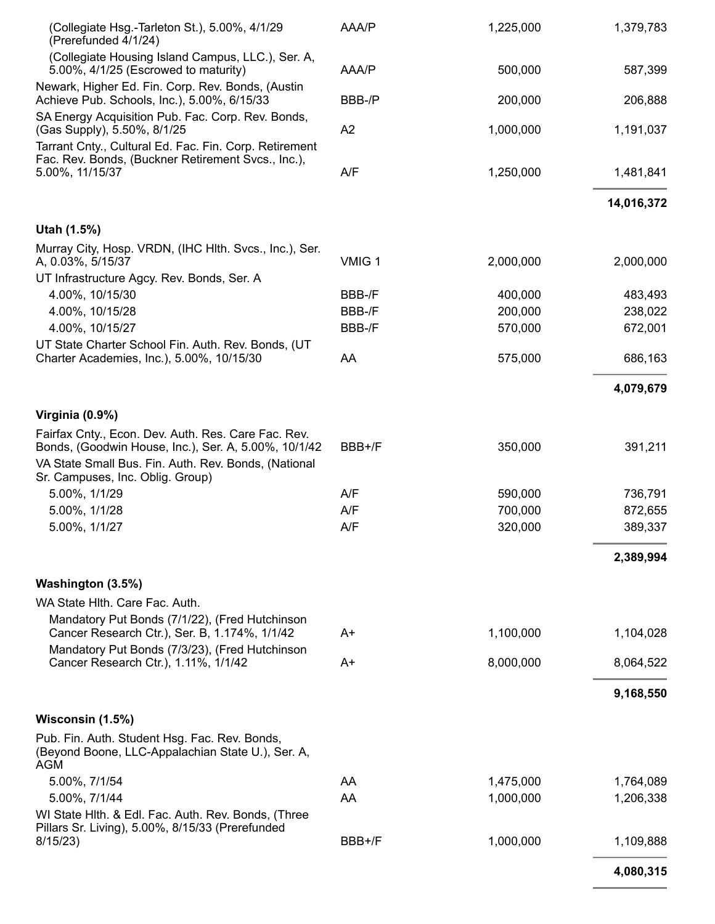| (Collegiate Hsg.-Tarleton St.), 5.00%, 4/1/29<br>(Prerefunded 4/1/24)                                                                                               | AAA/P            | 1,225,000          | 1,379,783          |
|---------------------------------------------------------------------------------------------------------------------------------------------------------------------|------------------|--------------------|--------------------|
| (Collegiate Housing Island Campus, LLC.), Ser. A,<br>5.00%, 4/1/25 (Escrowed to maturity)                                                                           | AAA/P            | 500,000            | 587,399            |
| Newark, Higher Ed. Fin. Corp. Rev. Bonds, (Austin<br>Achieve Pub. Schools, Inc.), 5.00%, 6/15/33                                                                    | BBB-/P           | 200,000            | 206,888            |
| SA Energy Acquisition Pub. Fac. Corp. Rev. Bonds,<br>(Gas Supply), 5.50%, 8/1/25                                                                                    | A2               | 1,000,000          | 1,191,037          |
| Tarrant Cnty., Cultural Ed. Fac. Fin. Corp. Retirement<br>Fac. Rev. Bonds, (Buckner Retirement Svcs., Inc.),                                                        |                  |                    |                    |
| 5.00%, 11/15/37                                                                                                                                                     | A/F              | 1,250,000          | 1,481,841          |
|                                                                                                                                                                     |                  |                    | 14,016,372         |
| Utah (1.5%)                                                                                                                                                         |                  |                    |                    |
| Murray City, Hosp. VRDN, (IHC Hith. Svcs., Inc.), Ser.<br>A, 0.03%, 5/15/37                                                                                         | VMIG 1           | 2,000,000          | 2,000,000          |
| UT Infrastructure Agcy. Rev. Bonds, Ser. A                                                                                                                          |                  |                    |                    |
| 4.00%, 10/15/30                                                                                                                                                     | BBB-/F           | 400,000            | 483,493<br>238,022 |
| 4.00%, 10/15/28<br>4.00%, 10/15/27                                                                                                                                  | BBB-/F<br>BBB-/F | 200,000<br>570,000 | 672,001            |
| UT State Charter School Fin. Auth. Rev. Bonds, (UT                                                                                                                  |                  |                    |                    |
| Charter Academies, Inc.), 5.00%, 10/15/30                                                                                                                           | AA               | 575,000            | 686,163            |
|                                                                                                                                                                     |                  |                    | 4,079,679          |
| Virginia (0.9%)                                                                                                                                                     |                  |                    |                    |
| Fairfax Cnty., Econ. Dev. Auth. Res. Care Fac. Rev.<br>Bonds, (Goodwin House, Inc.), Ser. A, 5.00%, 10/1/42<br>VA State Small Bus. Fin. Auth. Rev. Bonds, (National | BBB+/F           | 350,000            | 391,211            |
| Sr. Campuses, Inc. Oblig. Group)<br>5.00%, 1/1/29                                                                                                                   | A/F              |                    |                    |
| 5.00%, 1/1/28                                                                                                                                                       | A/F              | 590,000<br>700,000 | 736,791<br>872,655 |
| 5.00%, 1/1/27                                                                                                                                                       | A/F              | 320,000            | 389,337            |
|                                                                                                                                                                     |                  |                    |                    |
|                                                                                                                                                                     |                  |                    | 2,389,994          |
| Washington (3.5%)                                                                                                                                                   |                  |                    |                    |
| WA State Hith, Care Fac, Auth.                                                                                                                                      |                  |                    |                    |
| Mandatory Put Bonds (7/1/22), (Fred Hutchinson                                                                                                                      |                  |                    |                    |
| Cancer Research Ctr.), Ser. B, 1.174%, 1/1/42                                                                                                                       | A+               | 1,100,000          | 1,104,028          |
| Mandatory Put Bonds (7/3/23), (Fred Hutchinson<br>Cancer Research Ctr.), 1.11%, 1/1/42                                                                              | A+               | 8,000,000          | 8,064,522          |
|                                                                                                                                                                     |                  |                    | 9,168,550          |
| Wisconsin $(1.5%)$                                                                                                                                                  |                  |                    |                    |
| Pub. Fin. Auth. Student Hsg. Fac. Rev. Bonds,<br>(Beyond Boone, LLC-Appalachian State U.), Ser. A,<br><b>AGM</b>                                                    |                  |                    |                    |
| 5.00%, 7/1/54                                                                                                                                                       | AA               | 1,475,000          | 1,764,089          |
| 5.00%, 7/1/44                                                                                                                                                       | AA               | 1,000,000          | 1,206,338          |
| WI State Hith. & Edl. Fac. Auth. Rev. Bonds, (Three                                                                                                                 |                  |                    |                    |
| Pillars Sr. Living), 5.00%, 8/15/33 (Prerefunded<br>8/15/23)                                                                                                        | BBB+/F           | 1,000,000          | 1,109,888          |
|                                                                                                                                                                     |                  |                    | 4,080,315          |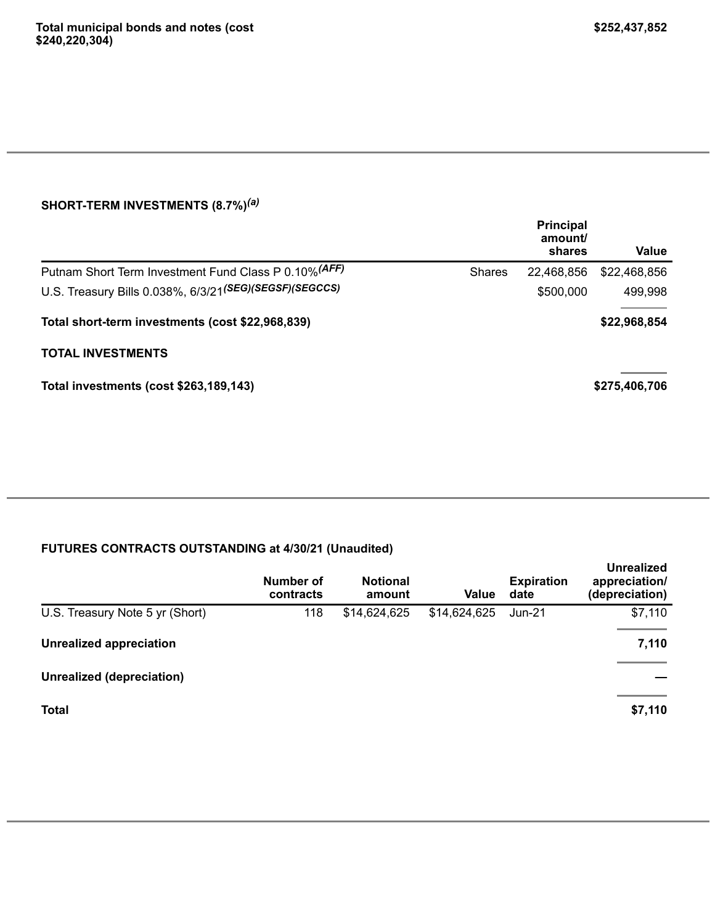#### **SHORT-TERM INVESTMENTS (8.7%)** *(a)*

|                                                           |               | <b>Principal</b><br>amount/<br>shares | Value         |
|-----------------------------------------------------------|---------------|---------------------------------------|---------------|
| Putnam Short Term Investment Fund Class P 0.10% (AFF)     | <b>Shares</b> | 22,468,856                            | \$22,468,856  |
| U.S. Treasury Bills 0.038%, 6/3/21 (SEG) (SEGSF) (SEGCCS) |               | \$500,000                             | 499,998       |
| Total short-term investments (cost \$22,968,839)          |               |                                       | \$22,968,854  |
| <b>TOTAL INVESTMENTS</b>                                  |               |                                       |               |
| Total investments (cost \$263,189,143)                    |               |                                       | \$275,406,706 |

### **FUTURES CONTRACTS OUTSTANDING at 4/30/21 (Unaudited)**

|                                  | Number of<br>contracts | <b>Notional</b><br>amount | Value        | <b>Expiration</b><br>date | <b>Unrealized</b><br>appreciation/<br>(depreciation) |
|----------------------------------|------------------------|---------------------------|--------------|---------------------------|------------------------------------------------------|
| U.S. Treasury Note 5 yr (Short)  | 118                    | \$14,624,625              | \$14,624,625 | Jun-21                    | \$7,110                                              |
| <b>Unrealized appreciation</b>   |                        |                           |              |                           | 7,110                                                |
| <b>Unrealized (depreciation)</b> |                        |                           |              |                           |                                                      |
| Total                            |                        |                           |              |                           | \$7,110                                              |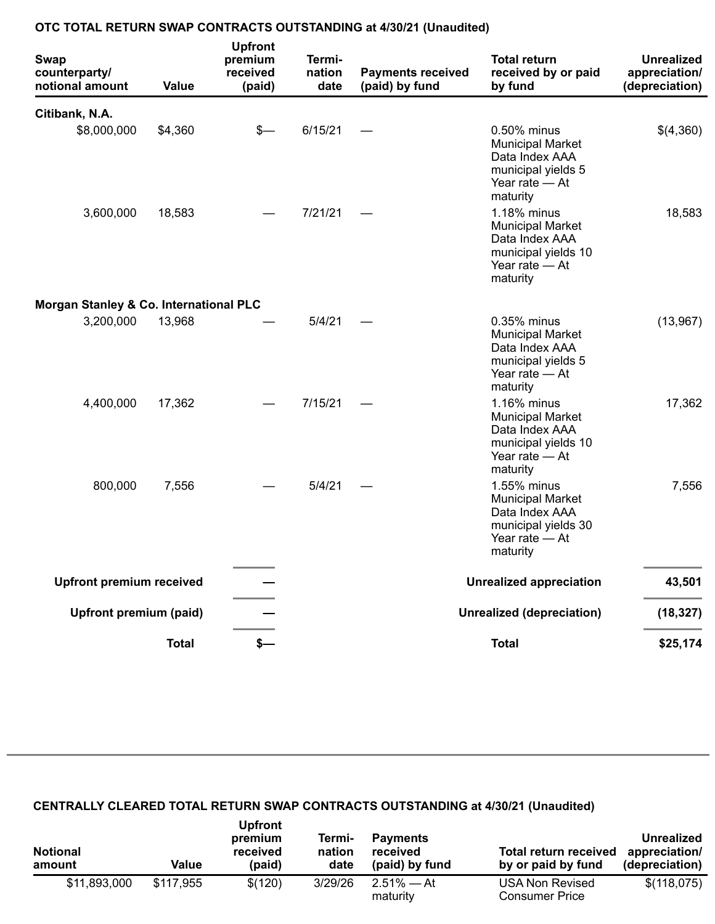| <b>Swap</b><br>counterparty/<br>notional amount | Value        | <b>Upfront</b><br>premium<br>received<br>(paid) | Termi-<br>nation<br>date | <b>Payments received</b><br>(paid) by fund | <b>Total return</b><br>received by or paid<br>by fund                                                         | <b>Unrealized</b><br>appreciation/<br>(depreciation) |
|-------------------------------------------------|--------------|-------------------------------------------------|--------------------------|--------------------------------------------|---------------------------------------------------------------------------------------------------------------|------------------------------------------------------|
| Citibank, N.A.                                  |              |                                                 |                          |                                            |                                                                                                               |                                                      |
| \$8,000,000                                     | \$4,360      | $s-$                                            | 6/15/21                  |                                            | 0.50% minus<br><b>Municipal Market</b><br>Data Index AAA<br>municipal yields 5<br>Year rate - At<br>maturity  | \$(4,360)                                            |
| 3,600,000                                       | 18,583       |                                                 | 7/21/21                  |                                            | 1.18% minus<br><b>Municipal Market</b><br>Data Index AAA<br>municipal yields 10<br>Year rate - At<br>maturity | 18,583                                               |
| Morgan Stanley & Co. International PLC          |              |                                                 |                          |                                            |                                                                                                               |                                                      |
| 3,200,000                                       | 13,968       |                                                 | 5/4/21                   |                                            | 0.35% minus<br><b>Municipal Market</b><br>Data Index AAA<br>municipal yields 5<br>Year rate - At<br>maturity  | (13,967)                                             |
| 4,400,000                                       | 17,362       |                                                 | 7/15/21                  |                                            | 1.16% minus<br><b>Municipal Market</b><br>Data Index AAA<br>municipal yields 10<br>Year rate - At<br>maturity | 17,362                                               |
| 800,000                                         | 7,556        |                                                 | 5/4/21                   |                                            | 1.55% minus<br><b>Municipal Market</b><br>Data Index AAA<br>municipal yields 30<br>Year rate - At<br>maturity | 7,556                                                |
| <b>Upfront premium received</b>                 |              |                                                 |                          |                                            | <b>Unrealized appreciation</b>                                                                                | 43,501                                               |
| <b>Upfront premium (paid)</b>                   |              |                                                 |                          |                                            | <b>Unrealized (depreciation)</b>                                                                              | (18, 327)                                            |
|                                                 | <b>Total</b> | $s-$                                            |                          |                                            | <b>Total</b>                                                                                                  | \$25,174                                             |

#### **OTC TOTAL RETURN SWAP CONTRACTS OUTSTANDING at 4/30/21 (Unaudited)**

#### **CENTRALLY CLEARED TOTAL RETURN SWAP CONTRACTS OUTSTANDING at 4/30/21 (Unaudited)**

| <b>Notional</b><br>amount | Value     | <b>Upfront</b><br>premium<br>received<br>(paid) | Termi-<br>nation<br>date | <b>Payments</b><br>received<br>(paid) by fund | <b>Total return received</b><br>by or paid by fund | <b>Unrealized</b><br>appreciation/<br>(depreciation) |
|---------------------------|-----------|-------------------------------------------------|--------------------------|-----------------------------------------------|----------------------------------------------------|------------------------------------------------------|
| \$11,893,000              | \$117.955 | \$(120)                                         | 3/29/26                  | $2.51\% - At$<br>maturity                     | <b>USA Non Revised</b><br><b>Consumer Price</b>    | \$(118,075)                                          |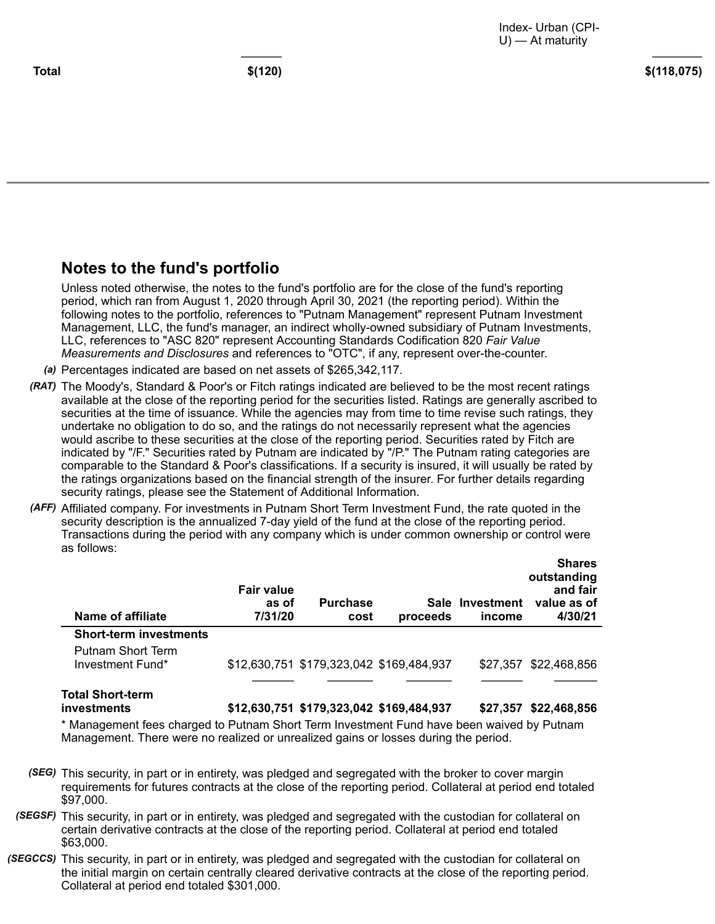**Shares**

## **Notes to the fund's portfolio**

Unless noted otherwise, the notes to the fund's portfolio are for the close of the fund's reporting period, which ran from August 1, 2020 through April 30, 2021 (the reporting period). Within the following notes to the portfolio, references to "Putnam Management" represent Putnam Investment Management, LLC, the fund's manager, an indirect wholly-owned subsidiary of Putnam Investments, LLC, references to "ASC 820" represent Accounting Standards Codification 820 *Fair Value Measurements and Disclosures* and references to "OTC", if any, represent over-the-counter.

- *(a)* Percentages indicated are based on net assets of \$265,342,117.
- *(RAT)* The Moody's, Standard & Poor's or Fitch ratings indicated are believed to be the most recent ratings available at the close of the reporting period for the securities listed. Ratings are generally ascribed to securities at the time of issuance. While the agencies may from time to time revise such ratings, they undertake no obligation to do so, and the ratings do not necessarily represent what the agencies would ascribe to these securities at the close of the reporting period. Securities rated by Fitch are indicated by "/F." Securities rated by Putnam are indicated by "/P." The Putnam rating categories are comparable to the Standard & Poor's classifications. If a security is insured, it will usually be rated by the ratings organizations based on the financial strength of the insurer. For further details regarding security ratings, please see the Statement of Additional Information.
- *(AFF)* Affiliated company. For investments in Putnam Short Term Investment Fund, the rate quoted in the security description is the annualized 7-day yield of the fund at the close of the reporting period. Transactions during the period with any company which is under common ownership or control were as follows:

| Name of affiliate                             | <b>Fair value</b><br>as of<br>7/31/20 | <b>Purchase</b><br>cost                  | proceeds | Sale Investment<br>income | viidits<br>outstanding<br>and fair<br>value as of<br>4/30/21 |
|-----------------------------------------------|---------------------------------------|------------------------------------------|----------|---------------------------|--------------------------------------------------------------|
| <b>Short-term investments</b>                 |                                       |                                          |          |                           |                                                              |
| Putnam Short Term<br>Investment Fund*         |                                       | \$12,630,751 \$179,323,042 \$169,484,937 |          |                           | \$27,357 \$22,468,856                                        |
| <b>Total Short-term</b><br><b>investments</b> |                                       | \$12,630,751 \$179,323,042 \$169,484,937 |          | \$27.357                  | \$22,468,856                                                 |

\* Management fees charged to Putnam Short Term Investment Fund have been waived by Putnam Management. There were no realized or unrealized gains or losses during the period.

- *(SEG)* This security, in part or in entirety, was pledged and segregated with the broker to cover margin requirements for futures contracts at the close of the reporting period. Collateral at period end totaled \$97,000.
- *(SEGSF)* This security, in part or in entirety, was pledged and segregated with the custodian for collateral on certain derivative contracts at the close of the reporting period. Collateral at period end totaled \$63,000.
- *(SEGCCS)* This security, in part or in entirety, was pledged and segregated with the custodian for collateral on the initial margin on certain centrally cleared derivative contracts at the close of the reporting period. Collateral at period end totaled \$301,000.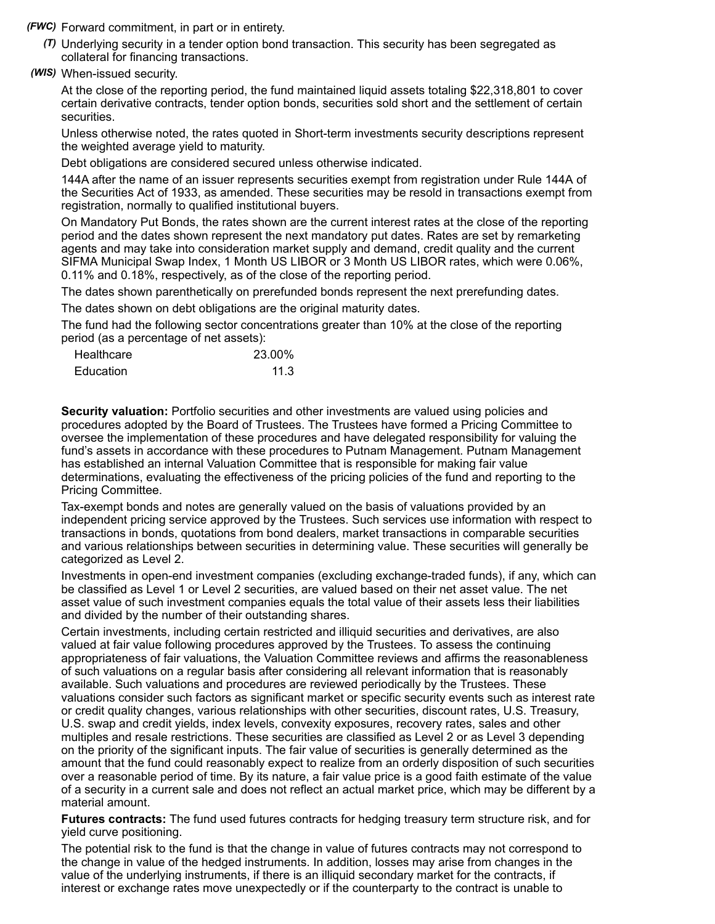- *(FWC)* Forward commitment, in part or in entirety.
	- *(T)* Underlying security in a tender option bond transaction. This security has been segregated as collateral for financing transactions.
- *(WIS)* When-issued security.

At the close of the reporting period, the fund maintained liquid assets totaling \$22,318,801 to cover certain derivative contracts, tender option bonds, securities sold short and the settlement of certain securities.

Unless otherwise noted, the rates quoted in Short-term investments security descriptions represent the weighted average yield to maturity.

Debt obligations are considered secured unless otherwise indicated.

144A after the name of an issuer represents securities exempt from registration under Rule 144A of the Securities Act of 1933, as amended. These securities may be resold in transactions exempt from registration, normally to qualified institutional buyers.

On Mandatory Put Bonds, the rates shown are the current interest rates at the close of the reporting period and the dates shown represent the next mandatory put dates. Rates are set by remarketing agents and may take into consideration market supply and demand, credit quality and the current SIFMA Municipal Swap Index, 1 Month US LIBOR or 3 Month US LIBOR rates, which were 0.06%, 0.11% and 0.18%, respectively, as of the close of the reporting period.

The dates shown parenthetically on prerefunded bonds represent the next prerefunding dates.

The dates shown on debt obligations are the original maturity dates.

The fund had the following sector concentrations greater than 10% at the close of the reporting period (as a percentage of net assets):

| Healthcare | 23.00% |
|------------|--------|
| Education  | 11.3   |

**Security valuation:** Portfolio securities and other investments are valued using policies and procedures adopted by the Board of Trustees. The Trustees have formed a Pricing Committee to oversee the implementation of these procedures and have delegated responsibility for valuing the fund's assets in accordance with these procedures to Putnam Management. Putnam Management has established an internal Valuation Committee that is responsible for making fair value determinations, evaluating the effectiveness of the pricing policies of the fund and reporting to the Pricing Committee.

Tax-exempt bonds and notes are generally valued on the basis of valuations provided by an independent pricing service approved by the Trustees. Such services use information with respect to transactions in bonds, quotations from bond dealers, market transactions in comparable securities and various relationships between securities in determining value. These securities will generally be categorized as Level 2.

Investments in open-end investment companies (excluding exchange-traded funds), if any, which can be classified as Level 1 or Level 2 securities, are valued based on their net asset value. The net asset value of such investment companies equals the total value of their assets less their liabilities and divided by the number of their outstanding shares.

Certain investments, including certain restricted and illiquid securities and derivatives, are also valued at fair value following procedures approved by the Trustees. To assess the continuing appropriateness of fair valuations, the Valuation Committee reviews and affirms the reasonableness of such valuations on a regular basis after considering all relevant information that is reasonably available. Such valuations and procedures are reviewed periodically by the Trustees. These valuations consider such factors as significant market or specific security events such as interest rate or credit quality changes, various relationships with other securities, discount rates, U.S. Treasury, U.S. swap and credit yields, index levels, convexity exposures, recovery rates, sales and other multiples and resale restrictions. These securities are classified as Level 2 or as Level 3 depending on the priority of the significant inputs. The fair value of securities is generally determined as the amount that the fund could reasonably expect to realize from an orderly disposition of such securities over a reasonable period of time. By its nature, a fair value price is a good faith estimate of the value of a security in a current sale and does not reflect an actual market price, which may be different by a material amount.

**Futures contracts:** The fund used futures contracts for hedging treasury term structure risk, and for yield curve positioning.

The potential risk to the fund is that the change in value of futures contracts may not correspond to the change in value of the hedged instruments. In addition, losses may arise from changes in the value of the underlying instruments, if there is an illiquid secondary market for the contracts, if interest or exchange rates move unexpectedly or if the counterparty to the contract is unable to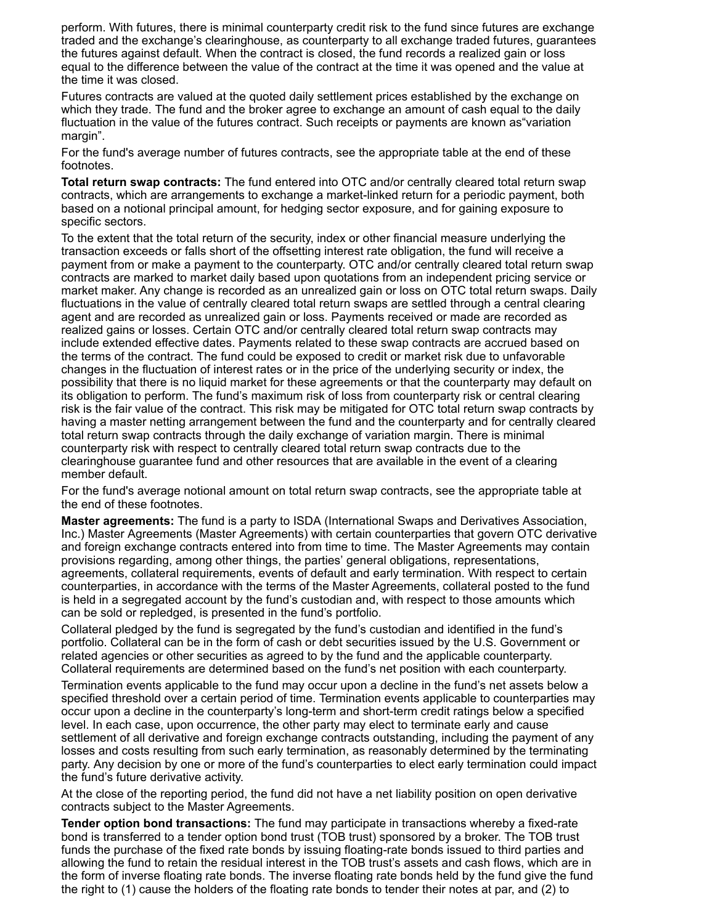perform. With futures, there is minimal counterparty credit risk to the fund since futures are exchange traded and the exchange's clearinghouse, as counterparty to all exchange traded futures, guarantees the futures against default. When the contract is closed, the fund records a realized gain or loss equal to the difference between the value of the contract at the time it was opened and the value at the time it was closed.

Futures contracts are valued at the quoted daily settlement prices established by the exchange on which they trade. The fund and the broker agree to exchange an amount of cash equal to the daily fluctuation in the value of the futures contract. Such receipts or payments are known as"variation margin".

For the fund's average number of futures contracts, see the appropriate table at the end of these footnotes.

**Total return swap contracts:** The fund entered into OTC and/or centrally cleared total return swap contracts, which are arrangements to exchange a market-linked return for a periodic payment, both based on a notional principal amount, for hedging sector exposure, and for gaining exposure to specific sectors.

To the extent that the total return of the security, index or other financial measure underlying the transaction exceeds or falls short of the offsetting interest rate obligation, the fund will receive a payment from or make a payment to the counterparty. OTC and/or centrally cleared total return swap contracts are marked to market daily based upon quotations from an independent pricing service or market maker. Any change is recorded as an unrealized gain or loss on OTC total return swaps. Daily fluctuations in the value of centrally cleared total return swaps are settled through a central clearing agent and are recorded as unrealized gain or loss. Payments received or made are recorded as realized gains or losses. Certain OTC and/or centrally cleared total return swap contracts may include extended effective dates. Payments related to these swap contracts are accrued based on the terms of the contract. The fund could be exposed to credit or market risk due to unfavorable changes in the fluctuation of interest rates or in the price of the underlying security or index, the possibility that there is no liquid market for these agreements or that the counterparty may default on its obligation to perform. The fund's maximum risk of loss from counterparty risk or central clearing risk is the fair value of the contract. This risk may be mitigated for OTC total return swap contracts by having a master netting arrangement between the fund and the counterparty and for centrally cleared total return swap contracts through the daily exchange of variation margin. There is minimal counterparty risk with respect to centrally cleared total return swap contracts due to the clearinghouse guarantee fund and other resources that are available in the event of a clearing member default.

For the fund's average notional amount on total return swap contracts, see the appropriate table at the end of these footnotes.

**Master agreements:** The fund is a party to ISDA (International Swaps and Derivatives Association, Inc.) Master Agreements (Master Agreements) with certain counterparties that govern OTC derivative and foreign exchange contracts entered into from time to time. The Master Agreements may contain provisions regarding, among other things, the parties' general obligations, representations, agreements, collateral requirements, events of default and early termination. With respect to certain counterparties, in accordance with the terms of the Master Agreements, collateral posted to the fund is held in a segregated account by the fund's custodian and, with respect to those amounts which can be sold or repledged, is presented in the fund's portfolio.

Collateral pledged by the fund is segregated by the fund's custodian and identified in the fund's portfolio. Collateral can be in the form of cash or debt securities issued by the U.S. Government or related agencies or other securities as agreed to by the fund and the applicable counterparty. Collateral requirements are determined based on the fund's net position with each counterparty.

Termination events applicable to the fund may occur upon a decline in the fund's net assets below a specified threshold over a certain period of time. Termination events applicable to counterparties may occur upon a decline in the counterparty's long-term and short-term credit ratings below a specified level. In each case, upon occurrence, the other party may elect to terminate early and cause settlement of all derivative and foreign exchange contracts outstanding, including the payment of any losses and costs resulting from such early termination, as reasonably determined by the terminating party. Any decision by one or more of the fund's counterparties to elect early termination could impact the fund's future derivative activity.

At the close of the reporting period, the fund did not have a net liability position on open derivative contracts subject to the Master Agreements.

**Tender option bond transactions:** The fund may participate in transactions whereby a fixed-rate bond is transferred to a tender option bond trust (TOB trust) sponsored by a broker. The TOB trust funds the purchase of the fixed rate bonds by issuing floating-rate bonds issued to third parties and allowing the fund to retain the residual interest in the TOB trust's assets and cash flows, which are in the form of inverse floating rate bonds. The inverse floating rate bonds held by the fund give the fund the right to (1) cause the holders of the floating rate bonds to tender their notes at par, and (2) to